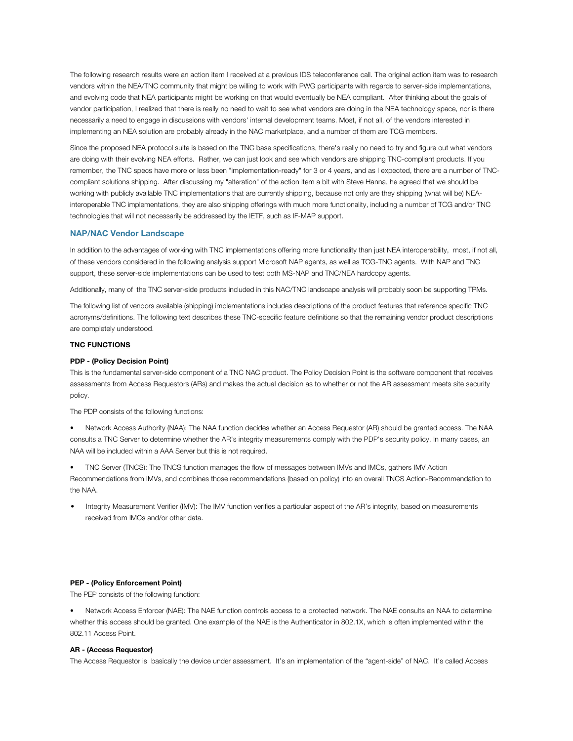The following research results were an action item I received at a previous IDS teleconference call. The original action item was to research vendors within the NEA/TNC community that might be willing to work with PWG participants with regards to server-side implementations, and evolving code that NEA participants might be working on that would eventually be NEA compliant. After thinking about the goals of vendor participation, I realized that there is really no need to wait to see what vendors are doing in the NEA technology space, nor is there necessarily a need to engage in discussions with vendors' internal development teams. Most, if not all, of the vendors interested in implementing an NEA solution are probably already in the NAC marketplace, and a number of them are TCG members.

Since the proposed NEA protocol suite is based on the TNC base specifications, there's really no need to try and figure out what vendors are doing with their evolving NEA efforts. Rather, we can just look and see which vendors are shipping TNC-compliant products. If you remember, the TNC specs have more or less been "implementation-ready" for 3 or 4 years, and as I expected, there are a number of TNCcompliant solutions shipping. After discussing my "alteration" of the action item a bit with Steve Hanna, he agreed that we should be working with publicly available TNC implementations that are currently shipping, because not only are they shipping (what will be) NEAinteroperable TNC implementations, they are also shipping offerings with much more functionality, including a number of TCG and/or TNC technologies that will not necessarily be addressed by the IETF, such as IF-MAP support.

### **NAP/NAC Vendor Landscape**

In addition to the advantages of working with TNC implementations offering more functionality than just NEA interoperability, most, if not all, of these vendors considered in the following analysis support Microsoft NAP agents, as well as TCG-TNC agents. With NAP and TNC support, these server-side implementations can be used to test both MS-NAP and TNC/NEA hardcopy agents.

Additionally, many of the TNC server-side products included in this NAC/TNC landscape analysis will probably soon be supporting TPMs.

The following list of vendors available (shipping) implementations includes descriptions of the product features that reference specific TNC acronyms/definitions. The following text describes these TNC-specific feature definitions so that the remaining vendor product descriptions are completely understood.

# **TNC FUNCTIONS**

# **PDP - (Policy Decision Point)**

This is the fundamental server-side component of a TNC NAC product. The Policy Decision Point is the software component that receives assessments from Access Requestors (ARs) and makes the actual decision as to whether or not the AR assessment meets site security policy.

The PDP consists of the following functions:

• Network Access Authority (NAA): The NAA function decides whether an Access Requestor (AR) should be granted access. The NAA consults a TNC Server to determine whether the AR's integrity measurements comply with the PDP's security policy. In many cases, an NAA will be included within a AAA Server but this is not required.

• TNC Server (TNCS): The TNCS function manages the flow of messages between IMVs and IMCs, gathers IMV Action Recommendations from IMVs, and combines those recommendations (based on policy) into an overall TNCS Action-Recommendation to the NAA.

• Integrity Measurement Verifier (IMV): The IMV function verifies a particular aspect of the AR's integrity, based on measurements received from IMCs and/or other data.

# **PEP - (Policy Enforcement Point)**

The PEP consists of the following function:

• Network Access Enforcer (NAE): The NAE function controls access to a protected network. The NAE consults an NAA to determine whether this access should be granted. One example of the NAE is the Authenticator in 802.1X, which is often implemented within the 802.11 Access Point.

# **AR - (Access Requestor)**

The Access Requestor is basically the device under assessment. It's an implementation of the "agent-side" of NAC. It's called Access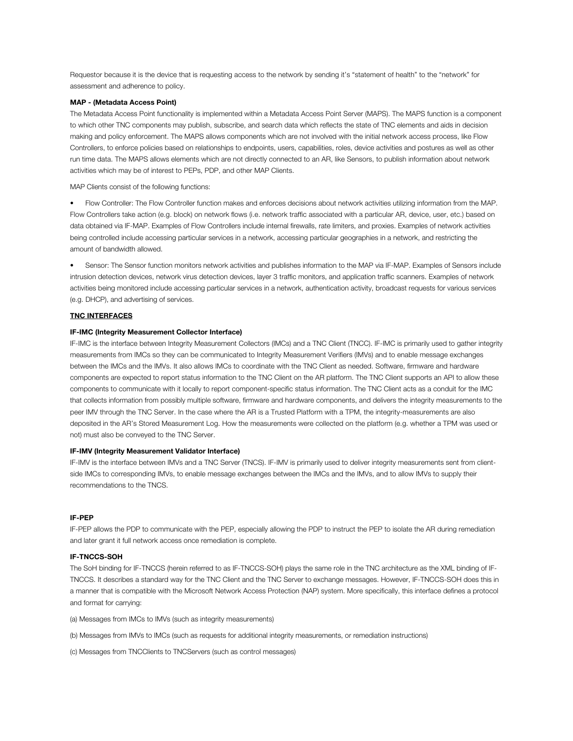Requestor because it is the device that is requesting access to the network by sending it's "statement of health" to the "network" for assessment and adherence to policy.

# **MAP - (Metadata Access Point)**

The Metadata Access Point functionality is implemented within a Metadata Access Point Server (MAPS). The MAPS function is a component to which other TNC components may publish, subscribe, and search data which reflects the state of TNC elements and aids in decision making and policy enforcement. The MAPS allows components which are not involved with the initial network access process, like Flow Controllers, to enforce policies based on relationships to endpoints, users, capabilities, roles, device activities and postures as well as other run time data. The MAPS allows elements which are not directly connected to an AR, like Sensors, to publish information about network activities which may be of interest to PEPs, PDP, and other MAP Clients.

MAP Clients consist of the following functions:

• Flow Controller: The Flow Controller function makes and enforces decisions about network activities utilizing information from the MAP. Flow Controllers take action (e.g. block) on network flows (i.e. network traffic associated with a particular AR, device, user, etc.) based on data obtained via IF-MAP. Examples of Flow Controllers include internal firewalls, rate limiters, and proxies. Examples of network activities being controlled include accessing particular services in a network, accessing particular geographies in a network, and restricting the amount of bandwidth allowed.

• Sensor: The Sensor function monitors network activities and publishes information to the MAP via IF-MAP. Examples of Sensors include intrusion detection devices, network virus detection devices, layer 3 traffic monitors, and application traffic scanners. Examples of network activities being monitored include accessing particular services in a network, authentication activity, broadcast requests for various services (e.g. DHCP), and advertising of services.

# **TNC INTERFACES**

#### **IF-IMC (Integrity Measurement Collector Interface)**

IF-IMC is the interface between Integrity Measurement Collectors (IMCs) and a TNC Client (TNCC). IF-IMC is primarily used to gather integrity measurements from IMCs so they can be communicated to Integrity Measurement Verifiers (IMVs) and to enable message exchanges between the IMCs and the IMVs. It also allows IMCs to coordinate with the TNC Client as needed. Software, firmware and hardware components are expected to report status information to the TNC Client on the AR platform. The TNC Client supports an API to allow these components to communicate with it locally to report component-specific status information. The TNC Client acts as a conduit for the IMC that collects information from possibly multiple software, firmware and hardware components, and delivers the integrity measurements to the peer IMV through the TNC Server. In the case where the AR is a Trusted Platform with a TPM, the integrity-measurements are also deposited in the AR's Stored Measurement Log. How the measurements were collected on the platform (e.g. whether a TPM was used or not) must also be conveyed to the TNC Server.

## **IF-IMV (Integrity Measurement Validator Interface)**

IF-IMV is the interface between IMVs and a TNC Server (TNCS). IF-IMV is primarily used to deliver integrity measurements sent from clientside IMCs to corresponding IMVs, to enable message exchanges between the IMCs and the IMVs, and to allow IMVs to supply their recommendations to the TNCS.

#### **IF-PEP**

IF-PEP allows the PDP to communicate with the PEP, especially allowing the PDP to instruct the PEP to isolate the AR during remediation and later grant it full network access once remediation is complete.

# **IF-TNCCS-SOH**

The SoH binding for IF-TNCCS (herein referred to as IF-TNCCS-SOH) plays the same role in the TNC architecture as the XML binding of IF-TNCCS. It describes a standard way for the TNC Client and the TNC Server to exchange messages. However, IF-TNCCS-SOH does this in a manner that is compatible with the Microsoft Network Access Protection (NAP) system. More specifically, this interface defines a protocol and format for carrying:

(a) Messages from IMCs to IMVs (such as integrity measurements)

(b) Messages from IMVs to IMCs (such as requests for additional integrity measurements, or remediation instructions)

(c) Messages from TNCClients to TNCServers (such as control messages)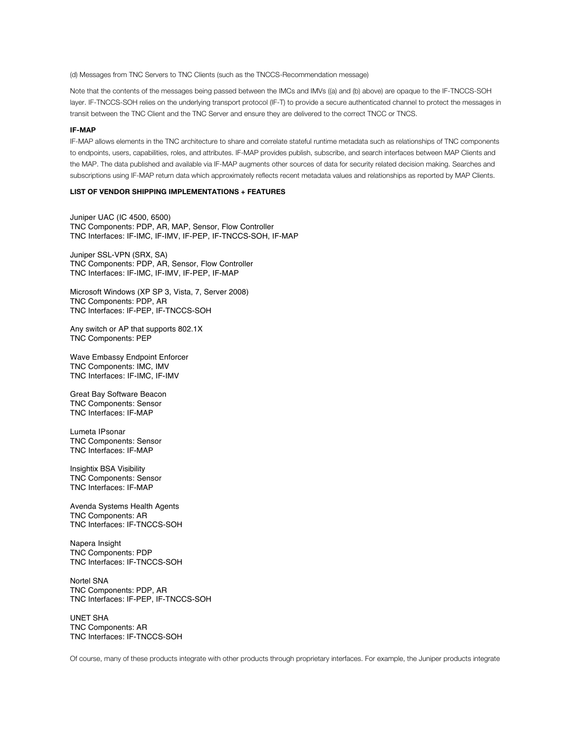(d) Messages from TNC Servers to TNC Clients (such as the TNCCS-Recommendation message)

Note that the contents of the messages being passed between the IMCs and IMVs ((a) and (b) above) are opaque to the IF-TNCCS-SOH layer. IF-TNCCS-SOH relies on the underlying transport protocol (IF-T) to provide a secure authenticated channel to protect the messages in transit between the TNC Client and the TNC Server and ensure they are delivered to the correct TNCC or TNCS.

## **IF-MAP**

IF-MAP allows elements in the TNC architecture to share and correlate stateful runtime metadata such as relationships of TNC components to endpoints, users, capabilities, roles, and attributes. IF-MAP provides publish, subscribe, and search interfaces between MAP Clients and the MAP. The data published and available via IF-MAP augments other sources of data for security related decision making. Searches and subscriptions using IF-MAP return data which approximately reflects recent metadata values and relationships as reported by MAP Clients.

# **LIST OF VENDOR SHIPPING IMPLEMENTATIONS + FEATURES**

Juniper UAC (IC 4500, 6500) TNC Components: PDP, AR, MAP, Sensor, Flow Controller TNC Interfaces: IF-IMC, IF-IMV, IF-PEP, IF-TNCCS-SOH, IF-MAP

Juniper SSL-VPN (SRX, SA) TNC Components: PDP, AR, Sensor, Flow Controller TNC Interfaces: IF-IMC, IF-IMV, IF-PEP, IF-MAP

Microsoft Windows (XP SP 3, Vista, 7, Server 2008) TNC Components: PDP, AR TNC Interfaces: IF-PEP, IF-TNCCS-SOH

Any switch or AP that supports 802.1X TNC Components: PEP

Wave Embassy Endpoint Enforcer TNC Components: IMC, IMV TNC Interfaces: IF-IMC, IF-IMV

Great Bay Software Beacon TNC Components: Sensor TNC Interfaces: IF-MAP

Lumeta IPsonar TNC Components: Sensor TNC Interfaces: IF-MAP

Insightix BSA Visibility TNC Components: Sensor TNC Interfaces: IF-MAP

Avenda Systems Health Agents TNC Components: AR TNC Interfaces: IF-TNCCS-SOH

Napera Insight TNC Components: PDP TNC Interfaces: IF-TNCCS-SOH

Nortel SNA TNC Components: PDP, AR TNC Interfaces: IF-PEP, IF-TNCCS-SOH

UNET SHA TNC Components: AR TNC Interfaces: IF-TNCCS-SOH

Of course, many of these products integrate with other products through proprietary interfaces. For example, the Juniper products integrate